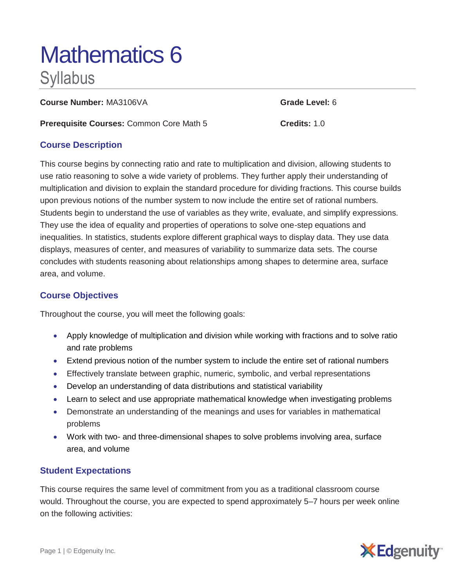# Mathematics 6 **Syllabus**

**Course Number:** MA3106VA **Grade Level:** 6

**Prerequisite Courses:** Common Core Math 5 **Credits:** 1.0

## **Course Description**

This course begins by connecting ratio and rate to multiplication and division, allowing students to use ratio reasoning to solve a wide variety of problems. They further apply their understanding of multiplication and division to explain the standard procedure for dividing fractions. This course builds upon previous notions of the number system to now include the entire set of rational numbers. Students begin to understand the use of variables as they write, evaluate, and simplify expressions. They use the idea of equality and properties of operations to solve one-step equations and inequalities. In statistics, students explore different graphical ways to display data. They use data displays, measures of center, and measures of variability to summarize data sets. The course concludes with students reasoning about relationships among shapes to determine area, surface area, and volume.

## **Course Objectives**

Throughout the course, you will meet the following goals:

- Apply knowledge of multiplication and division while working with fractions and to solve ratio and rate problems
- Extend previous notion of the number system to include the entire set of rational numbers
- Effectively translate between graphic, numeric, symbolic, and verbal representations
- Develop an understanding of data distributions and statistical variability
- Learn to select and use appropriate mathematical knowledge when investigating problems
- Demonstrate an understanding of the meanings and uses for variables in mathematical problems
- Work with two- and three-dimensional shapes to solve problems involving area, surface area, and volume

### **Student Expectations**

This course requires the same level of commitment from you as a traditional classroom course would. Throughout the course, you are expected to spend approximately 5–7 hours per week online on the following activities: